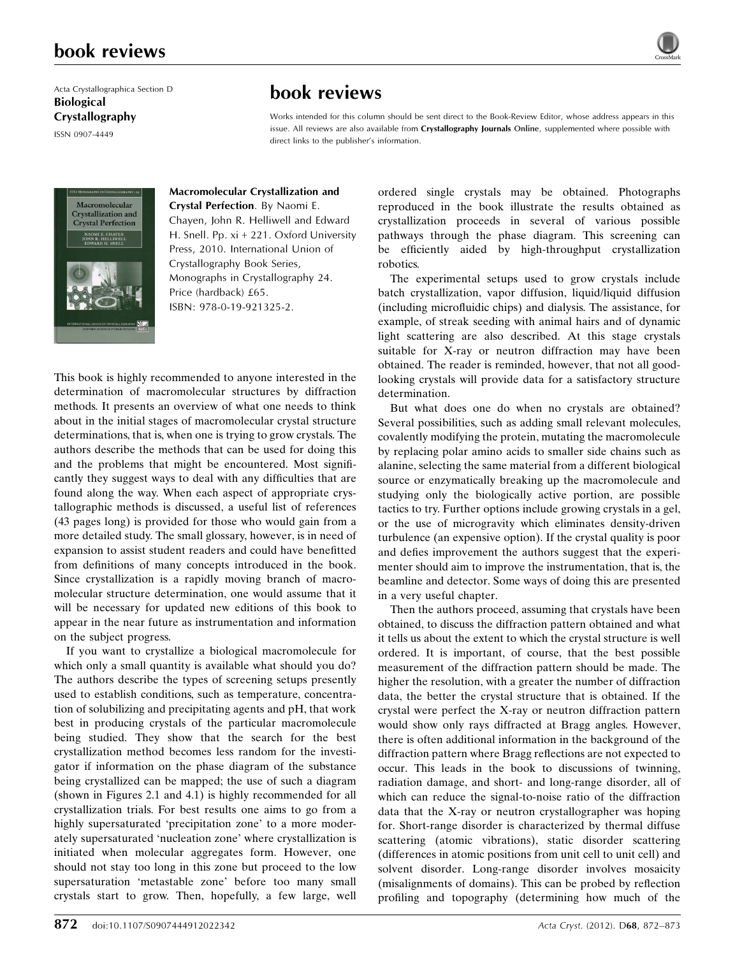## book reviews

Acta Crystallographica Section D Biological Crystallography ISSN 0907-4449

## book reviews

Works intended for this column should be sent direct to the Book-Review Editor, whose address appears in this issue. All reviews are also available from Crystallography Journals Online, supplemented where possible with direct links to the publisher's information.



Macromolecular Crystallization and Crystal Perfection. By Naomi E. Chayen, John R. Helliwell and Edward H. Snell. Pp. xi + 221. Oxford University Press, 2010. International Union of Crystallography Book Series, Monographs in Crystallography 24. Price (hardback) £65. ISBN: 978-0-19-921325-2.

This book is highly recommended to anyone interested in the determination of macromolecular structures by diffraction methods. It presents an overview of what one needs to think about in the initial stages of macromolecular crystal structure determinations, that is, when one is trying to grow crystals. The authors describe the methods that can be used for doing this and the problems that might be encountered. Most significantly they suggest ways to deal with any difficulties that are found along the way. When each aspect of appropriate crystallographic methods is discussed, a useful list of references (43 pages long) is provided for those who would gain from a more detailed study. The small glossary, however, is in need of expansion to assist student readers and could have benefitted from definitions of many concepts introduced in the book. Since crystallization is a rapidly moving branch of macromolecular structure determination, one would assume that it will be necessary for updated new editions of this book to appear in the near future as instrumentation and information on the subject progress.

If you want to crystallize a biological macromolecule for which only a small quantity is available what should you do? The authors describe the types of screening setups presently used to establish conditions, such as temperature, concentration of solubilizing and precipitating agents and pH, that work best in producing crystals of the particular macromolecule being studied. They show that the search for the best crystallization method becomes less random for the investigator if information on the phase diagram of the substance being crystallized can be mapped; the use of such a diagram (shown in Figures 2.1 and 4.1) is highly recommended for all crystallization trials. For best results one aims to go from a highly supersaturated 'precipitation zone' to a more moderately supersaturated 'nucleation zone' where crystallization is initiated when molecular aggregates form. However, one should not stay too long in this zone but proceed to the low supersaturation 'metastable zone' before too many small crystals start to grow. Then, hopefully, a few large, well ordered single crystals may be obtained. Photographs reproduced in the book illustrate the results obtained as crystallization proceeds in several of various possible pathways through the phase diagram. This screening can be efficiently aided by high-throughput crystallization robotics.

The experimental setups used to grow crystals include batch crystallization, vapor diffusion, liquid/liquid diffusion (including microfluidic chips) and dialysis. The assistance, for example, of streak seeding with animal hairs and of dynamic light scattering are also described. At this stage crystals suitable for X-ray or neutron diffraction may have been obtained. The reader is reminded, however, that not all goodlooking crystals will provide data for a satisfactory structure determination.

But what does one do when no crystals are obtained? Several possibilities, such as adding small relevant molecules, covalently modifying the protein, mutating the macromolecule by replacing polar amino acids to smaller side chains such as alanine, selecting the same material from a different biological source or enzymatically breaking up the macromolecule and studying only the biologically active portion, are possible tactics to try. Further options include growing crystals in a gel, or the use of microgravity which eliminates density-driven turbulence (an expensive option). If the crystal quality is poor and defies improvement the authors suggest that the experimenter should aim to improve the instrumentation, that is, the beamline and detector. Some ways of doing this are presented in a very useful chapter.

Then the authors proceed, assuming that crystals have been obtained, to discuss the diffraction pattern obtained and what it tells us about the extent to which the crystal structure is well ordered. It is important, of course, that the best possible measurement of the diffraction pattern should be made. The higher the resolution, with a greater the number of diffraction data, the better the crystal structure that is obtained. If the crystal were perfect the X-ray or neutron diffraction pattern would show only rays diffracted at Bragg angles. However, there is often additional information in the background of the diffraction pattern where Bragg reflections are not expected to occur. This leads in the book to discussions of twinning, radiation damage, and short- and long-range disorder, all of which can reduce the signal-to-noise ratio of the diffraction data that the X-ray or neutron crystallographer was hoping for. Short-range disorder is characterized by thermal diffuse scattering (atomic vibrations), static disorder scattering (differences in atomic positions from unit cell to unit cell) and solvent disorder. Long-range disorder involves mosaicity (misalignments of domains). This can be probed by reflection profiling and topography (determining how much of the